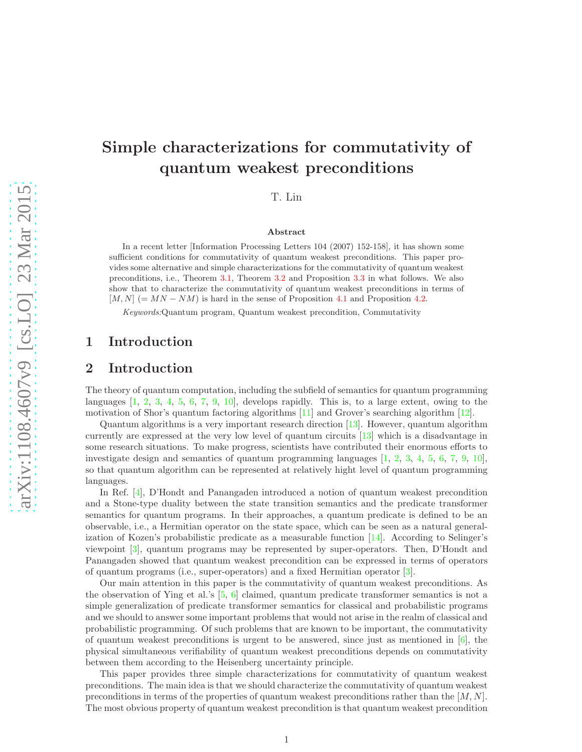# Simple characterizations for commutativity of quantum weakest preconditions

T. Lin

#### Abstract

In a recent letter [Information Processing Letters 104 (2007) 152-158], it has shown some sufficient conditions for commutativity of quantum weakest preconditions. This paper provides some alternative and simple characterizations for the commutativity of quantum weakest preconditions, i.e., Theorem [3.1,](#page-2-0) Theorem [3.2](#page-2-1) and Proposition [3.3](#page-2-2) in what follows. We also show that to characterize the commutativity of quantum weakest preconditions in terms of  $[M, N] (= MN - NM)$  is hard in the sense of Proposition [4.1](#page-4-0) and Proposition [4.2.](#page-5-0)

Keywords:Quantum program, Quantum weakest precondition, Commutativity

# <span id="page-0-0"></span>1 Introduction

# 2 Introduction

The theory of quantum computation, including the subfield of semantics for quantum programming languages  $[1, 2, 3, 4, 5, 6, 7, 9, 10]$  $[1, 2, 3, 4, 5, 6, 7, 9, 10]$  $[1, 2, 3, 4, 5, 6, 7, 9, 10]$  $[1, 2, 3, 4, 5, 6, 7, 9, 10]$  $[1, 2, 3, 4, 5, 6, 7, 9, 10]$  $[1, 2, 3, 4, 5, 6, 7, 9, 10]$  $[1, 2, 3, 4, 5, 6, 7, 9, 10]$  $[1, 2, 3, 4, 5, 6, 7, 9, 10]$  $[1, 2, 3, 4, 5, 6, 7, 9, 10]$  $[1, 2, 3, 4, 5, 6, 7, 9, 10]$  $[1, 2, 3, 4, 5, 6, 7, 9, 10]$  $[1, 2, 3, 4, 5, 6, 7, 9, 10]$  $[1, 2, 3, 4, 5, 6, 7, 9, 10]$  $[1, 2, 3, 4, 5, 6, 7, 9, 10]$  $[1, 2, 3, 4, 5, 6, 7, 9, 10]$  $[1, 2, 3, 4, 5, 6, 7, 9, 10]$ , develops rapidly. This is, to a large extent, owing to the motivation of Shor's quantum factoring algorithms [\[11\]](#page-6-7) and Grover's searching algorithm [\[12\]](#page-6-8).

Quantum algorithms is a very important research direction [\[13\]](#page-6-9). However, quantum algorithm currently are expressed at the very low level of quantum circuits [\[13\]](#page-6-9) which is a disadvantage in some research situations. To make progress, scientists have contributed their enormous efforts to investigate design and semantics of quantum programming languages [\[1,](#page-5-1) [2,](#page-5-2) [3,](#page-6-0) [4,](#page-6-1) [5,](#page-6-2) [6,](#page-6-3) [7,](#page-6-4) [9,](#page-6-5) [10\]](#page-6-6), so that quantum algorithm can be represented at relatively hight level of quantum programming languages.

In Ref. [\[4\]](#page-6-1), D'Hondt and Panangaden introduced a notion of quantum weakest precondition and a Stone-type duality between the state transition semantics and the predicate transformer semantics for quantum programs. In their approaches, a quantum predicate is defined to be an observable, i.e., a Hermitian operator on the state space, which can be seen as a natural generalization of Kozen's probabilistic predicate as a measurable function [\[14\]](#page-6-10). According to Selinger's viewpoint [\[3\]](#page-6-0), quantum programs may be represented by super-operators. Then, D'Hondt and Panangaden showed that quantum weakest precondition can be expressed in terms of operators of quantum programs (i.e., super-operators) and a fixed Hermitian operator [\[3\]](#page-6-0).

Our main attention in this paper is the commutativity of quantum weakest preconditions. As the observation of Ying et al.'s [\[5,](#page-6-2) [6\]](#page-6-3) claimed, quantum predicate transformer semantics is not a simple generalization of predicate transformer semantics for classical and probabilistic programs and we should to answer some important problems that would not arise in the realm of classical and probabilistic programming. Of such problems that are known to be important, the commutativity of quantum weakest preconditions is urgent to be answered, since just as mentioned in  $[6]$ , the physical simultaneous verifiability of quantum weakest preconditions depends on commutativity between them according to the Heisenberg uncertainty principle.

This paper provides three simple characterizations for commutativity of quantum weakest preconditions. The main idea is that we should characterize the commutativity of quantum weakest preconditions in terms of the properties of quantum weakest preconditions rather than the  $[M, N]$ . The most obvious property of quantum weakest precondition is that quantum weakest precondition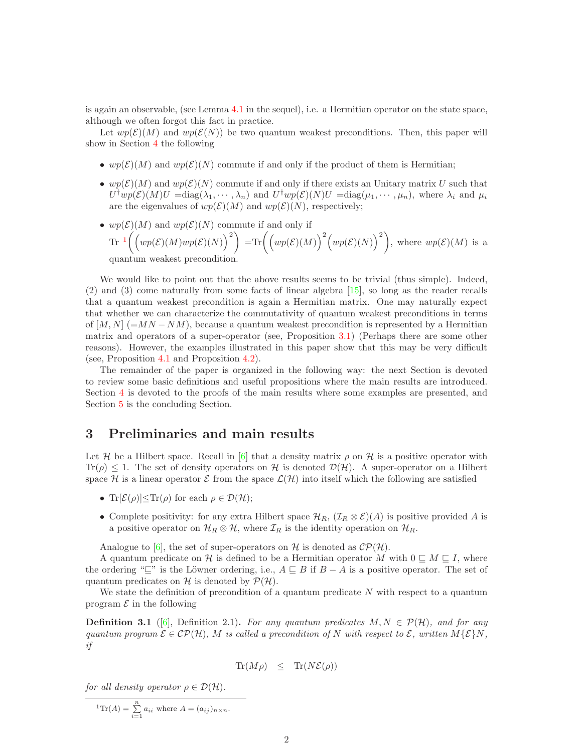is again an observable, (see Lemma [4.1](#page-3-0) in the sequel), i.e. a Hermitian operator on the state space, although we often forgot this fact in practice.

Let  $wp(\mathcal{E})(M)$  and  $wp(\mathcal{E}(N))$  be two quantum weakest preconditions. Then, this paper will show in Section [4](#page-3-1) the following

- wp( $\mathcal{E}(M)$ ) and wp( $\mathcal{E}(N)$ ) commute if and only if the product of them is Hermitian;
- $wp(\mathcal{E})(M)$  and  $wp(\mathcal{E})(N)$  commute if and only if there exists an Unitary matrix U such that  $U^{\dagger}wp(\mathcal{E})(M)U = \text{diag}(\lambda_1, \cdots, \lambda_n)$  and  $U^{\dagger}wp(\mathcal{E})(N)U = \text{diag}(\mu_1, \cdots, \mu_n)$ , where  $\lambda_i$  and  $\mu_i$ are the eigenvalues of  $wp(\mathcal{E})(M)$  and  $wp(\mathcal{E})(N)$ , respectively;
- $wp(\mathcal{E})(M)$  and  $wp(\mathcal{E})(N)$  commute if and only if  $\mathrm{Tr} \left[\left(wp(\mathcal{E})(M)wp(\mathcal{E})(N)\right)^2\right] = \mathrm{Tr}\left(\left(wp(\mathcal{E})(M)\right)^2\left(wp(\mathcal{E})(N)\right)^2\right), \text{ where }wp(\mathcal{E})(M) \text{ is a }$ quantum weakest precondition.

We would like to point out that the above results seems to be trivial (thus simple). Indeed, (2) and (3) come naturally from some facts of linear algebra [\[15\]](#page-6-11), so long as the reader recalls that a quantum weakest precondition is again a Hermitian matrix. One may naturally expect that whether we can characterize the commutativity of quantum weakest preconditions in terms of  $[M, N]$  (=  $MN - NM$ ), because a quantum weakest precondition is represented by a Hermitian matrix and operators of a super-operator (see, Proposition [3.1\)](#page-2-3) (Perhaps there are some other reasons). However, the examples illustrated in this paper show that this may be very difficult (see, Proposition [4.1](#page-4-0) and Proposition [4.2\)](#page-5-0).

The remainder of the paper is organized in the following way: the next Section is devoted to review some basic definitions and useful propositions where the main results are introduced. Section [4](#page-3-1) is devoted to the proofs of the main results where some examples are presented, and Section [5](#page-5-3) is the concluding Section.

### 3 Preliminaries and main results

Let H be a Hilbert space. Recall in [\[6\]](#page-6-3) that a density matrix  $\rho$  on H is a positive operator with  $Tr(\rho) \leq 1$ . The set of density operators on H is denoted  $\mathcal{D}(\mathcal{H})$ . A super-operator on a Hilbert space H is a linear operator  $\mathcal E$  from the space  $\mathcal L(\mathcal H)$  into itself which the following are satisfied

- Tr $[\mathcal{E}(\rho)] < Tr(\rho)$  for each  $\rho \in \mathcal{D}(\mathcal{H})$ ;
- Complete positivity: for any extra Hilbert space  $\mathcal{H}_R$ ,  $(\mathcal{I}_R \otimes \mathcal{E})(A)$  is positive provided A is a positive operator on  $\mathcal{H}_R \otimes \mathcal{H}$ , where  $\mathcal{I}_R$  is the identity operation on  $\mathcal{H}_R$ .

Analogue to [\[6\]](#page-6-3), the set of super-operators on H is denoted as  $\mathcal{CP}(\mathcal{H})$ .

A quantum predicate on H is defined to be a Hermitian operator M with  $0 \subseteq M \subseteq I$ , where the ordering "⊑" is the Löwner ordering, i.e.,  $A \sqsubseteq B$  if  $B - A$  is a positive operator. The set of quantum predicates on H is denoted by  $\mathcal{P}(\mathcal{H})$ .

We state the definition of precondition of a quantum predicate  $N$  with respect to a quantum program  $\mathcal E$  in the following

<span id="page-1-1"></span>**Definition 3.1** ([\[6\]](#page-6-3), Definition 2.1). For any quantum predicates  $M, N \in \mathcal{P}(\mathcal{H})$ , and for any quantum program  $\mathcal{E} \in \mathcal{CP}(\mathcal{H})$ , M is called a precondition of N with respect to  $\mathcal{E}$ , written  $M\{\mathcal{E}\}\N$ , if

$$
\text{Tr}(M\rho) \leq \text{Tr}(N\mathcal{E}(\rho))
$$

for all density operator  $\rho \in \mathcal{D}(\mathcal{H})$ .

<span id="page-1-0"></span><sup>1</sup>Tr(A) = 
$$
\sum_{i=1}^{n} a_{ii}
$$
 where  $A = (a_{ij})_{n \times n}$ .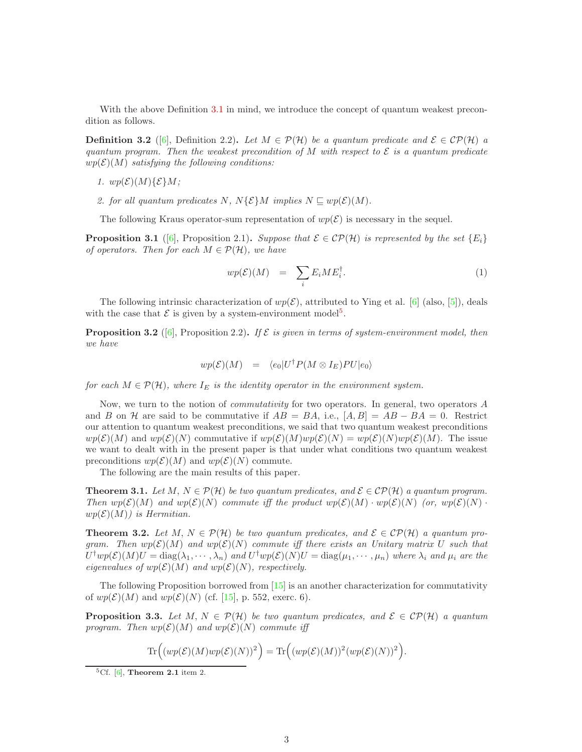With the above Definition [3.1](#page-1-1) in mind, we introduce the concept of quantum weakest precondition as follows.

**Definition 3.2** ([\[6\]](#page-6-3), Definition 2.2). Let  $M \in \mathcal{P}(\mathcal{H})$  be a quantum predicate and  $\mathcal{E} \in \mathcal{CP}(\mathcal{H})$  a quantum program. Then the weakest precondition of M with respect to  $\mathcal E$  is a quantum predicate  $wp(\mathcal{E})(M)$  satisfying the following conditions:

1.  $wp(\mathcal{E})(M)\{\mathcal{E}\}M;$ 

2. for all quantum predicates N,  $N\{\mathcal{E}\}\$ M implies  $N \sqsubseteq wp(\mathcal{E})(M)$ .

The following Kraus operator-sum representation of  $wp(\mathcal{E})$  is necessary in the sequel.

<span id="page-2-3"></span>**Proposition 3.1** ([\[6\]](#page-6-3), Proposition 2.1). Suppose that  $\mathcal{E} \in \mathcal{CP}(\mathcal{H})$  is represented by the set  $\{E_i\}$ of operators. Then for each  $M \in \mathcal{P}(\mathcal{H})$ , we have

<span id="page-2-5"></span>
$$
wp(\mathcal{E})(M) = \sum_{i} E_i M E_i^{\dagger}.
$$
 (1)

The following intrinsic characterization of  $wp(\mathcal{E})$ , attributed to Ying et al. [\[6\]](#page-6-3) (also, [\[5\]](#page-6-2)), deals with the case that  $\mathcal E$  is given by a system-environment model<sup>[5](#page-2-4)</sup>.

**Proposition 3.2** ([\[6\]](#page-6-3), Proposition 2.2). If  $\mathcal{E}$  is given in terms of system-environment model, then we have

$$
wp(\mathcal{E})(M) = \langle e_0 | U^{\dagger} P(M \otimes I_E) P U | e_0 \rangle
$$

for each  $M \in \mathcal{P}(\mathcal{H})$ , where  $I_E$  is the identity operator in the environment system.

Now, we turn to the notion of commutativity for two operators. In general, two operators A and B on H are said to be commutative if  $AB = BA$ , i.e.,  $[A, B] = AB - BA = 0$ . Restrict our attention to quantum weakest preconditions, we said that two quantum weakest preconditions  $wp(\mathcal{E})(M)$  and  $wp(\mathcal{E})(N)$  commutative if  $wp(\mathcal{E})(M)wp(\mathcal{E})(N) = wp(\mathcal{E})(N)wp(\mathcal{E})(M)$ . The issue we want to dealt with in the present paper is that under what conditions two quantum weakest preconditions  $wp(\mathcal{E})(M)$  and  $wp(\mathcal{E})(N)$  commute.

The following are the main results of this paper.

<span id="page-2-0"></span>**Theorem 3.1.** Let  $M, N \in \mathcal{P}(\mathcal{H})$  be two quantum predicates, and  $\mathcal{E} \in \mathcal{CP}(\mathcal{H})$  a quantum program. Then  $wp(\mathcal{E})(M)$  and  $wp(\mathcal{E})(N)$  commute iff the product  $wp(\mathcal{E})(M) \cdot wp(\mathcal{E})(N)$  (or,  $wp(\mathcal{E})(N)$ ).  $wp(\mathcal{E})(M)$ ) is Hermitian.

<span id="page-2-1"></span>**Theorem 3.2.** Let M,  $N \in \mathcal{P}(\mathcal{H})$  be two quantum predicates, and  $\mathcal{E} \in \mathcal{CP}(\mathcal{H})$  a quantum program. Then  $wp(\mathcal{E})(M)$  and  $wp(\mathcal{E})(N)$  commute iff there exists an Unitary matrix U such that  $U^{\dagger}wp(\mathcal{E})(M)U = \text{diag}(\lambda_1, \cdots, \lambda_n)$  and  $U^{\dagger}wp(\mathcal{E})(N)U = \text{diag}(\mu_1, \cdots, \mu_n)$  where  $\lambda_i$  and  $\mu_i$  are the eigenvalues of  $wp(\mathcal{E})(M)$  and  $wp(\mathcal{E})(N)$ , respectively.

The following Proposition borrowed from [\[15\]](#page-6-11) is an another characterization for commutativity of  $wp(\mathcal{E})(M)$  and  $wp(\mathcal{E})(N)$  (cf. [\[15\]](#page-6-11), p. 552, exerc. 6).

<span id="page-2-2"></span>**Proposition 3.3.** Let M,  $N \in \mathcal{P}(\mathcal{H})$  be two quantum predicates, and  $\mathcal{E} \in \mathcal{CP}(\mathcal{H})$  a quantum program. Then  $wp(\mathcal{E})(M)$  and  $wp(\mathcal{E})(N)$  commute iff

$$
\operatorname{Tr}\Bigl((wp(\mathcal{E})(M)wp(\mathcal{E})(N))^2\Bigr) = \operatorname{Tr}\Bigl((wp(\mathcal{E})(M))^2(wp(\mathcal{E})(N))^2\Bigr).
$$

<span id="page-2-4"></span><sup>&</sup>lt;sup>5</sup>Cf. [\[6\]](#page-6-3), **Theorem 2.1** item 2.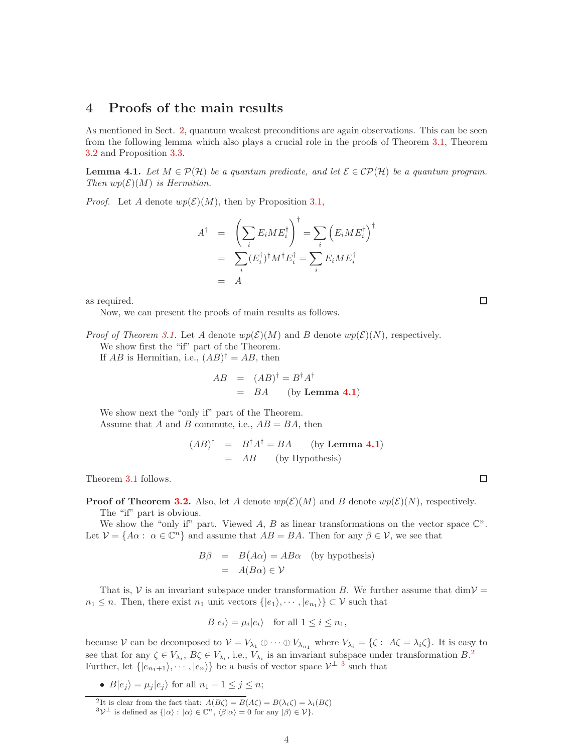# <span id="page-3-1"></span>4 Proofs of the main results

As mentioned in Sect. [2,](#page-0-0) quantum weakest preconditions are again observations. This can be seen from the following lemma which also plays a crucial role in the proofs of Theorem [3.1,](#page-2-0) Theorem [3.2](#page-2-1) and Proposition [3.3.](#page-2-2)

<span id="page-3-0"></span>**Lemma 4.1.** Let  $M \in \mathcal{P}(\mathcal{H})$  be a quantum predicate, and let  $\mathcal{E} \in \mathcal{CP}(\mathcal{H})$  be a quantum program. Then  $wp(\mathcal{E})(M)$  is Hermitian.

*Proof.* Let A denote  $wp(\mathcal{E})(M)$ , then by Proposition [3.1,](#page-2-3)

$$
A^{\dagger} = \left(\sum_{i} E_{i} M E_{i}^{\dagger}\right)^{\dagger} = \sum_{i} \left(E_{i} M E_{i}^{\dagger}\right)^{\dagger}
$$

$$
= \sum_{i} (E_{i}^{\dagger})^{\dagger} M^{\dagger} E_{i}^{\dagger} = \sum_{i} E_{i} M E_{i}^{\dagger}
$$

$$
= A
$$

as required.

Now, we can present the proofs of main results as follows.

*Proof of Theorem [3.1.](#page-2-0)* Let A denote  $wp(\mathcal{E})(M)$  and B denote  $wp(\mathcal{E})(N)$ , respectively.

We show first the "if" part of the Theorem.

If  $AB$  is Hermitian, i.e.,  $(AB)^{\dagger} = AB$ , then

$$
AB = (AB)^{\dagger} = B^{\dagger} A^{\dagger}
$$
  
= BA (by Lemma 4.1)

We show next the "only if" part of the Theorem. Assume that A and B commute, i.e.,  $AB = BA$ , then

$$
(AB)^{\dagger} = B^{\dagger} A^{\dagger} = BA
$$
 (by Lemma 4.1)  
= AB (by Hypothesis)

Theorem [3.1](#page-2-0) follows.

**Proof of Theorem [3.2.](#page-2-1)** Also, let A denote  $wp(\mathcal{E})(M)$  and B denote  $wp(\mathcal{E})(N)$ , respectively.

The "if" part is obvious.

We show the "only if" part. Viewed A, B as linear transformations on the vector space  $\mathbb{C}^n$ . Let  $V = \{A\alpha : \alpha \in \mathbb{C}^n\}$  and assume that  $AB = BA$ . Then for any  $\beta \in V$ , we see that

$$
B\beta = B(A\alpha) = AB\alpha \text{ (by hypothesis)}
$$
  
=  $A(B\alpha) \in \mathcal{V}$ 

That is,  $\mathcal V$  is an invariant subspace under transformation B. We further assume that dim $\mathcal V$  =  $n_1 \leq n$ . Then, there exist  $n_1$  unit vectors  $\{|e_1\rangle, \dots, |e_{n_1}\rangle\} \subset \mathcal{V}$  such that

$$
B|e_i\rangle = \mu_i|e_i\rangle \quad \text{for all } 1 \le i \le n_1,
$$

because V can be decomposed to  $V = V_{\lambda_1} \oplus \cdots \oplus V_{\lambda_{n_1}}$  where  $V_{\lambda_i} = \{\zeta : A\zeta = \lambda_i\zeta\}$ . It is easy to see that for any  $\zeta \in V_{\lambda_i}$ ,  $B\zeta \in V_{\lambda_i}$ , i.e.,  $V_{\lambda_i}$  is an invariant subspace under transformation  $B$ . Further, let  $\{|e_{n_1+1}\rangle, \cdots, |e_n\rangle\}$  be a basis of vector space  $\mathcal{V}^{\perp}$  <sup>[3](#page-3-3)</sup> such that

•  $B|e_j\rangle = \mu_j|e_j\rangle$  for all  $n_1 + 1 \leq j \leq n$ ;

<sup>2</sup>It is clear from the fact that:  $A(B\zeta) = B(A\zeta) = B(\lambda_i\zeta) = \lambda_i(B\zeta)$ <br> ${}^3\mathcal{V}^{\perp}$  is defined as  $\{|\alpha\rangle : |\alpha\rangle \in \mathbb{C}^n$ ,  $\langle \beta|\alpha\rangle = 0$  for any  $|\beta\rangle \in \mathcal{V}\}.$ 

 $\Box$ 

□

<span id="page-3-3"></span><span id="page-3-2"></span>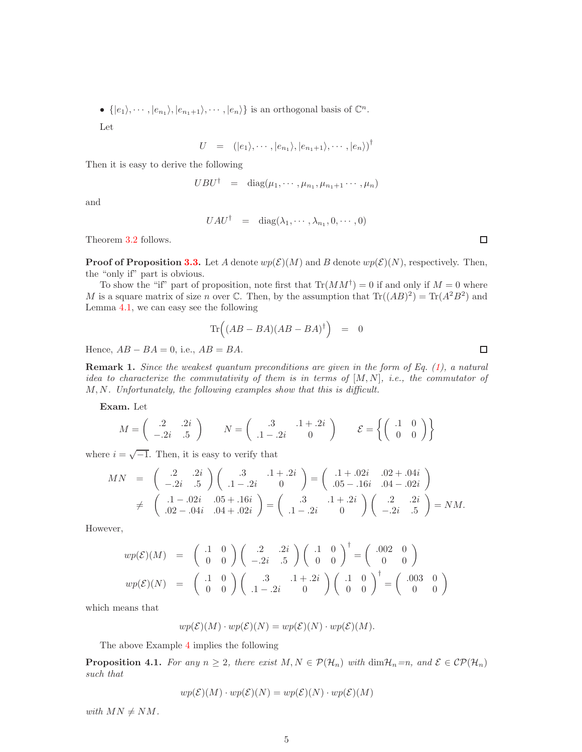•  $\{|e_1\rangle, \cdots, |e_{n_1}\rangle, |e_{n_1+1}\rangle, \cdots, |e_n\rangle\}$  is an orthogonal basis of  $\mathbb{C}^n$ .

Let

$$
U = (|e_1\rangle, \cdots, |e_{n_1}\rangle, |e_{n_1+1}\rangle, \cdots, |e_n\rangle)^{\dagger}
$$

Then it is easy to derive the following

$$
UBU^{\dagger} = \text{diag}(\mu_1, \cdots, \mu_{n_1}, \mu_{n_1+1} \cdots, \mu_n)
$$

and

$$
UAU^{\dagger} = \text{diag}(\lambda_1, \cdots, \lambda_{n_1}, 0, \cdots, 0)
$$

Theorem [3.2](#page-2-1) follows.

**Proof of Proposition [3.3.](#page-2-2)** Let A denote  $wp(\mathcal{E})(M)$  and B denote  $wp(\mathcal{E})(N)$ , respectively. Then, the "only if" part is obvious.

To show the "if" part of proposition, note first that  $\text{Tr}(MM^{\dagger}) = 0$  if and only if  $M = 0$  where M is a square matrix of size n over C. Then, by the assumption that  $\text{Tr}((AB)^2) = \text{Tr}(A^2B^2)$  and Lemma [4.1,](#page-3-0) we can easy see the following

$$
\text{Tr}\Big((AB-BA)(AB-BA)^{\dagger}\Big) = 0
$$

Hence,  $AB - BA = 0$ , i.e.,  $AB = BA$ .

<span id="page-4-1"></span>**Remark 1.** Since the weakest quantum preconditions are given in the form of Eq.  $(1)$ , a natural idea to characterize the commutativity of them is in terms of  $[M, N]$ , i.e., the commutator of M, N. Unfortunately, the following examples show that this is difficult.

Exam. Let

$$
M = \begin{pmatrix} .2 & .2i \\ -.2i & .5 \end{pmatrix} \qquad N = \begin{pmatrix} .3 & .1 + .2i \\ .1 - .2i & 0 \end{pmatrix} \qquad \mathcal{E} = \left\{ \begin{pmatrix} .1 & 0 \\ 0 & 0 \end{pmatrix} \right\}
$$

where  $i = \sqrt{-1}$ . Then, it is easy to verify that

$$
MN = \begin{pmatrix} .2 & .2i \\ -.2i & .5 \end{pmatrix} \begin{pmatrix} .3 & .1 + .2i \\ .1 - .2i & 0 \end{pmatrix} = \begin{pmatrix} .1 + .02i & .02 + .04i \\ .05 - .16i & .04 - .02i \end{pmatrix}
$$
  

$$
\neq \begin{pmatrix} .1 - .02i & .05 + .16i \\ .02 - .04i & .04 + .02i \end{pmatrix} = \begin{pmatrix} .3 & .1 + .2i \\ .1 - .2i & 0 \end{pmatrix} \begin{pmatrix} .2 & .2i \\ -.2i & .5 \end{pmatrix} = NM.
$$

However,

$$
wp(\mathcal{E})(M) = \begin{pmatrix} .1 & 0 \\ 0 & 0 \end{pmatrix} \begin{pmatrix} .2 & .2i \\ -.2i & .5 \end{pmatrix} \begin{pmatrix} .1 & 0 \\ 0 & 0 \end{pmatrix}^{\dagger} = \begin{pmatrix} .002 & 0 \\ 0 & 0 \end{pmatrix}
$$

$$
wp(\mathcal{E})(N) = \begin{pmatrix} .1 & 0 \\ 0 & 0 \end{pmatrix} \begin{pmatrix} .3 & .1 + .2i \\ .1 - .2i & 0 \end{pmatrix} \begin{pmatrix} .1 & 0 \\ 0 & 0 \end{pmatrix}^{\dagger} = \begin{pmatrix} .003 & 0 \\ 0 & 0 \end{pmatrix}
$$

which means that

$$
wp(\mathcal{E})(M) \cdot wp(\mathcal{E})(N) = wp(\mathcal{E})(N) \cdot wp(\mathcal{E})(M).
$$

The above Example [4](#page-4-1) implies the following

<span id="page-4-0"></span>**Proposition 4.1.** For any  $n \geq 2$ , there exist  $M, N \in \mathcal{P}(\mathcal{H}_n)$  with  $\dim \mathcal{H}_n = n$ , and  $\mathcal{E} \in \mathcal{CP}(\mathcal{H}_n)$ such that

$$
wp(\mathcal{E})(M) \cdot wp(\mathcal{E})(N) = wp(\mathcal{E})(N) \cdot wp(\mathcal{E})(M)
$$

with  $MN \neq NM$ .

 $\Box$ 

 $\Box$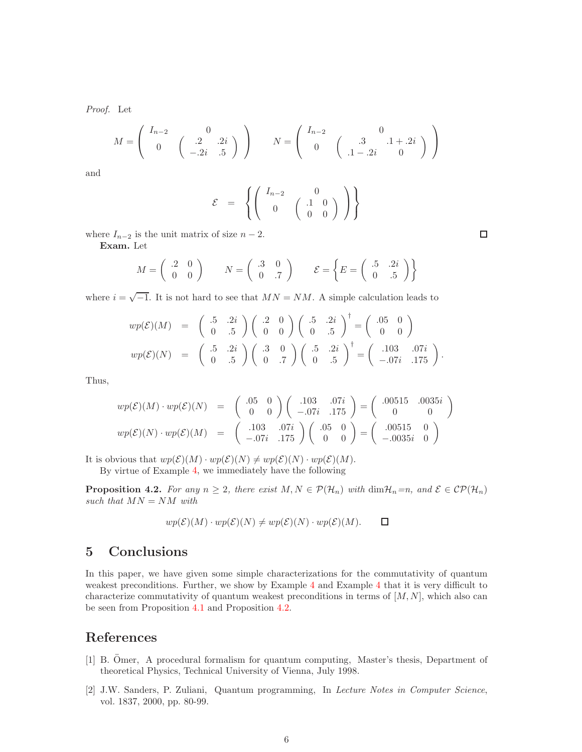Proof. Let

$$
M = \begin{pmatrix} I_{n-2} & 0 \\ 0 & \begin{pmatrix} .2 & .2i \\ -.2i & .5 \end{pmatrix} \end{pmatrix} \qquad N = \begin{pmatrix} I_{n-2} & 0 \\ 0 & \begin{pmatrix} .3 & .1 + .2i \\ .1 - .2i & 0 \end{pmatrix} \end{pmatrix}
$$

and

$$
\mathcal{E} = \left\{ \left( \begin{array}{cc} I_{n-2} & 0 \\ 0 & \left( \begin{array}{c} .1 & 0 \\ 0 & 0 \end{array} \right) \end{array} \right) \right\}
$$

where  $I_{n-2}$  is the unit matrix of size  $n-2$ .

Exam. Let

$$
M = \begin{pmatrix} .2 & 0 \\ 0 & 0 \end{pmatrix} \qquad N = \begin{pmatrix} .3 & 0 \\ 0 & .7 \end{pmatrix} \qquad \mathcal{E} = \begin{Bmatrix} .5 & .2i \\ 0 & .5 \end{Bmatrix}
$$

where  $i = \sqrt{-1}$ . It is not hard to see that  $MN = NM$ . A simple calculation leads to

$$
wp(\mathcal{E})(M) = \begin{pmatrix} .5 & .2i \\ 0 & .5 \end{pmatrix} \begin{pmatrix} .2 & 0 \\ 0 & 0 \end{pmatrix} \begin{pmatrix} .5 & .2i \\ 0 & .5 \end{pmatrix}^{\dagger} = \begin{pmatrix} .05 & 0 \\ 0 & 0 \end{pmatrix}
$$

$$
wp(\mathcal{E})(N) = \begin{pmatrix} .5 & .2i \\ 0 & .5 \end{pmatrix} \begin{pmatrix} .3 & 0 \\ 0 & .7 \end{pmatrix} \begin{pmatrix} .5 & .2i \\ 0 & .5 \end{pmatrix}^{\dagger} = \begin{pmatrix} .103 & .07i \\ -.07i & .175 \end{pmatrix}.
$$

Thus,

$$
wp(\mathcal{E})(M) \cdot wp(\mathcal{E})(N) = \begin{pmatrix} .05 & 0 \\ 0 & 0 \end{pmatrix} \begin{pmatrix} .103 & .07i \\ -.07i & .175 \end{pmatrix} = \begin{pmatrix} .00515 & .0035i \\ 0 & 0 \end{pmatrix}
$$

$$
wp(\mathcal{E})(N) \cdot wp(\mathcal{E})(M) = \begin{pmatrix} .103 & .07i \\ -.07i & .175 \end{pmatrix} \begin{pmatrix} .05 & 0 \\ 0 & 0 \end{pmatrix} = \begin{pmatrix} .00515 & 0 \\ -.0035i & 0 \end{pmatrix}
$$

It is obvious that  $wp(\mathcal{E})(M) \cdot wp(\mathcal{E})(N) \neq wp(\mathcal{E})(N) \cdot wp(\mathcal{E})(M)$ .

By virtue of Example [4,](#page-4-0) we immediately have the following

<span id="page-5-0"></span>**Proposition 4.2.** For any  $n \geq 2$ , there exist  $M, N \in \mathcal{P}(\mathcal{H}_n)$  with  $\dim \mathcal{H}_n = n$ , and  $\mathcal{E} \in \mathcal{CP}(\mathcal{H}_n)$ such that  $MN = NM$  with

$$
wp(\mathcal{E})(M) \cdot wp(\mathcal{E})(N) \neq wp(\mathcal{E})(N) \cdot wp(\mathcal{E})(M).
$$

# <span id="page-5-3"></span>5 Conclusions

In this paper, we have given some simple characterizations for the commutativity of quantum weakest preconditions. Further, we show by Example [4](#page-4-1) and Example [4](#page-4-0) that it is very difficult to characterize commutativity of quantum weakest preconditions in terms of  $[M, N]$ , which also can be seen from Proposition [4.1](#page-4-0) and Proposition [4.2.](#page-5-0)

## <span id="page-5-1"></span>References

- [1] B. Omer, A procedural formalism for quantum computing, Master's thesis, Department of theoretical Physics, Technical University of Vienna, July 1998.
- <span id="page-5-2"></span>[2] J.W. Sanders, P. Zuliani, Quantum programming, In Lecture Notes in Computer Science, vol. 1837, 2000, pp. 80-99.